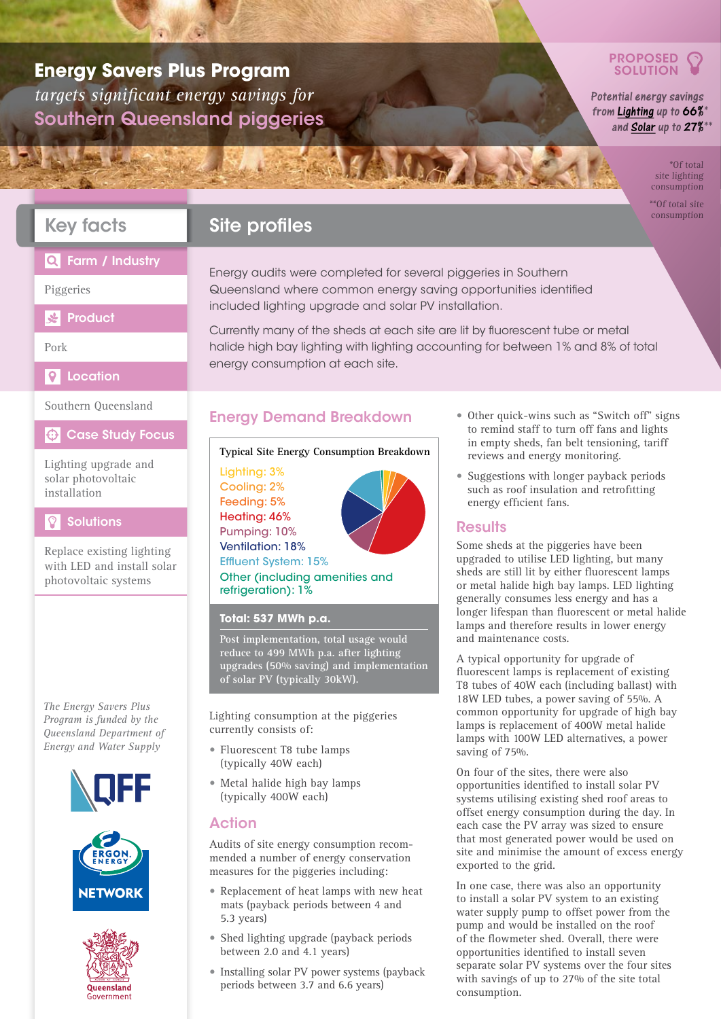## **Energy Savers Plus Program** *targets significant energy savings for*  Southern Queensland piggeries

### **PROPOSED** solution

Potential energy savings from <u>Lighting</u> up to 66%\* and  $\overline{\text{Solar}}$  up to 27% $^{**}$ 

> \*Of total site lighting consumption

\*\*Of total site consumption

## Key facts

### Farm / Industry  $\Omega$

Piggeries

### **SEP**roduct

Pork

### $\overline{Q}$ Location

### Southern Queensland

Case Study Focus

Lighting upgrade and solar photovoltaic installation

### **Solutions**

Replace existing lighting with LED and install solar photovoltaic systems

*The Energy Savers Plus Program is funded by the Queensland Department of Energy and Water Supply*







### **Typical Site Energy Consumption Breakdown**

Lighting: 3% Cooling: 2% Feeding: 5% Heating: 46% Pumping: 10%

Site profiles

Ventilation: 18%



Energy audits were completed for several piggeries in Southern Queensland where common energy saving opportunities identified

SASAIN

Currently many of the sheds at each site are lit by fluorescent tube or metal halide high bay lighting with lighting accounting for between 1% and 8% of total

included lighting upgrade and solar PV installation.

Effluent System: 15% Other (including amenities and refrigeration): 1%

### **Total: 537 MWh p.a.**

**Post implementation, total usage would reduce to 499 MWh p.a. after lighting upgrades (50% saving) and implementation of solar PV (typically 30kW).**

Lighting consumption at the piggeries currently consists of:

- • Fluorescent T8 tube lamps (typically 40W each)
- Metal halide high bay lamps (typically 400W each)

### Action

Audits of site energy consumption recommended a number of energy conservation measures for the piggeries including:

- Replacement of heat lamps with new heat mats (payback periods between 4 and 5.3 years)
- • Shed lighting upgrade (payback periods between 2.0 and 4.1 years)
- • Installing solar PV power systems (payback periods between 3.7 and 6.6 years)
- • Other quick-wins such as "Switch off" signs to remind staff to turn off fans and lights in empty sheds, fan belt tensioning, tariff reviews and energy monitoring.
- Suggestions with longer payback periods such as roof insulation and retrofitting energy efficient fans.

### **Results**

Some sheds at the piggeries have been upgraded to utilise LED lighting, but many sheds are still lit by either fluorescent lamps or metal halide high bay lamps. LED lighting generally consumes less energy and has a longer lifespan than fluorescent or metal halide lamps and therefore results in lower energy and maintenance costs.

A typical opportunity for upgrade of fluorescent lamps is replacement of existing T8 tubes of 40W each (including ballast) with 18W LED tubes, a power saving of 55%. A common opportunity for upgrade of high bay lamps is replacement of 400W metal halide lamps with 100W LED alternatives, a power saving of 75%.

On four of the sites, there were also opportunities identified to install solar PV systems utilising existing shed roof areas to offset energy consumption during the day. In each case the PV array was sized to ensure that most generated power would be used on site and minimise the amount of excess energy exported to the grid.

In one case, there was also an opportunity to install a solar PV system to an existing water supply pump to offset power from the pump and would be installed on the roof of the flowmeter shed. Overall, there were opportunities identified to install seven separate solar PV systems over the four sites with savings of up to 27% of the site total consumption.

# Energy Demand Breakdown

energy consumption at each site.